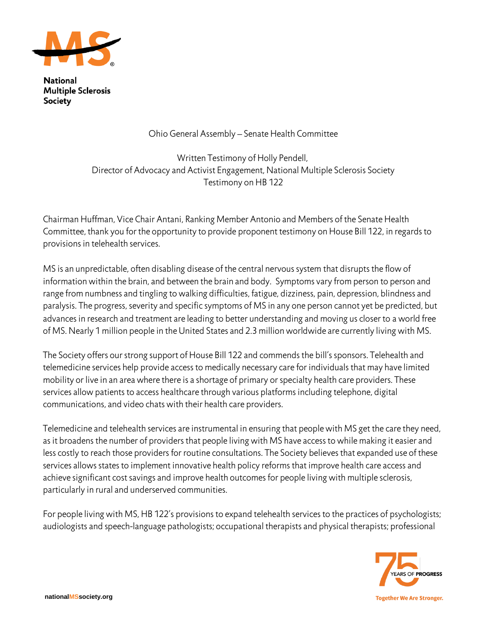

**National Multiple Sclerosis Society** 

Ohio General Assembly – Senate Health Committee

Written Testimony of Holly Pendell, Director of Advocacy and Activist Engagement, National Multiple Sclerosis Society Testimony on HB 122

Chairman Huffman, Vice Chair Antani, Ranking Member Antonio and Members of the Senate Health Committee, thank you for the opportunity to provide proponent testimony on House Bill 122, in regards to provisions in telehealth services.

MS is an unpredictable, often disabling disease of the central nervous system that disrupts the flow of information within the brain, and between the brain and body. Symptoms vary from person to person and range from numbness and tingling to walking difficulties, fatigue, dizziness, pain, depression, blindness and paralysis. The progress, severity and specific symptoms of MS in any one person cannot yet be predicted, but advances in research and treatment are leading to better understanding and moving us closer to a world free of MS. Nearly 1 million people in the United States and 2.3 million worldwide are currently living with MS.

The Society offers our strong support of House Bill 122 and commends the bill's sponsors. Telehealth and telemedicine services help provide access to medically necessary care for individuals that may have limited mobility or live in an area where there is a shortage of primary or specialty health care providers. These services allow patients to access healthcare through various platforms including telephone, digital communications, and video chats with their health care providers.

Telemedicine and telehealth services are instrumental in ensuring that people with MS get the care they need, as it broadens the number of providers that people living with MS have access to while making it easier and less costly to reach those providers for routine consultations. The Society believes that expanded use of these services allows states to implement innovative health policy reforms that improve health care access and achieve significant cost savings and improve health outcomes for people living with multiple sclerosis, particularly in rural and underserved communities.

For people living with MS, HB 122's provisions to expand telehealth services to the practices of psychologists; audiologists and speech-language pathologists; occupational therapists and physical therapists; professional